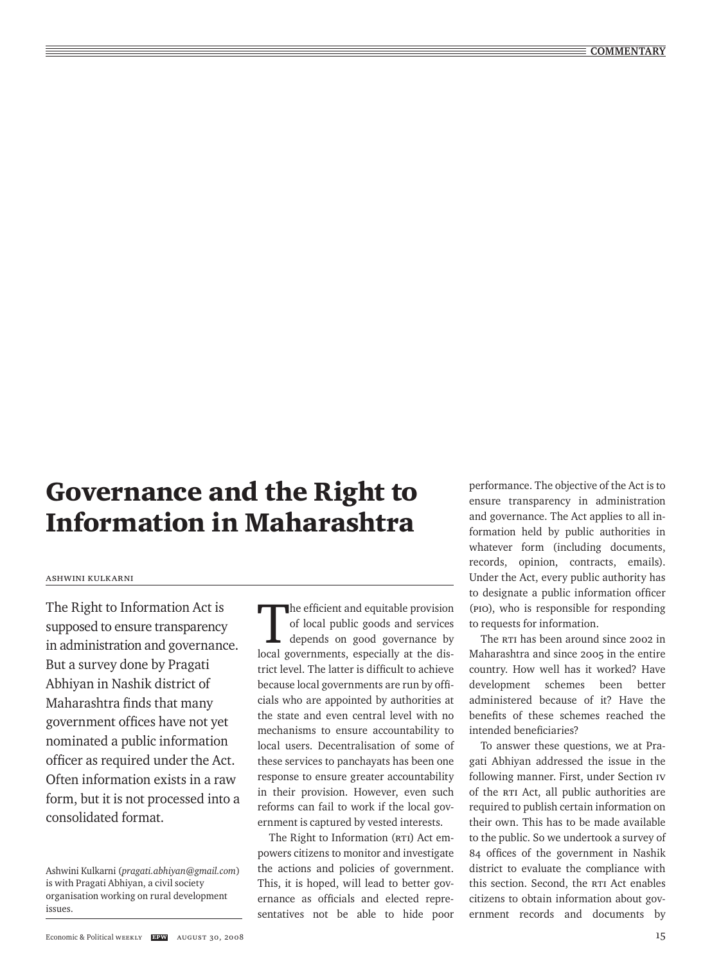# Governance and the Right to Information in Maharashtra

### ashwini kulkarni

The Right to Information Act is supposed to ensure transparency in administration and governance. But a survey done by Pragati Abhiyan in Nashik district of Maharashtra finds that many government offices have not yet nominated a public information officer as required under the Act. Often information exists in a raw form, but it is not processed into a consolidated format.

Ashwini Kulkarni (*pragati.abhiyan@gmail.com*) is with Pragati Abhiyan, a civil society organisation working on rural development issues.

The efficient and equitable provision<br>of local public goods and services<br>depends on good governance by<br>local governments, associally at the dia of local public goods and services depends on good governance by local governments, especially at the district level. The latter is difficult to achieve because local governments are run by officials who are appointed by authorities at the state and even central level with no mechanisms to ensure accountability to local users. Decentralisation of some of these services to panchayats has been one response to ensure greater accountability in their provision. However, even such reforms can fail to work if the local government is captured by vested interests.

The Right to Information (RTI) Act empowers citizens to monitor and investigate the actions and policies of government. This, it is hoped, will lead to better governance as officials and elected representatives not be able to hide poor

performance. The objective of the Act is to ensure transparency in administration and governance. The Act applies to all information held by public authorities in whatever form (including documents, records, opinion, contracts, emails). Under the Act, every public authority has to designate a public information officer (PIO), who is responsible for responding to requests for information.

The RTI has been around since 2002 in Maharashtra and since 2005 in the entire country. How well has it worked? Have development schemes been better administered because of it? Have the benefits of these schemes reached the intended beneficiaries?

To answer these questions, we at Pragati Abhiyan addressed the issue in the following manner. First, under Section IV of the RTI Act, all public authorities are required to publish certain information on their own. This has to be made available to the public. So we undertook a survey of 84 offices of the government in Nashik district to evaluate the compliance with this section. Second, the RTI Act enables citizens to obtain information about government records and documents by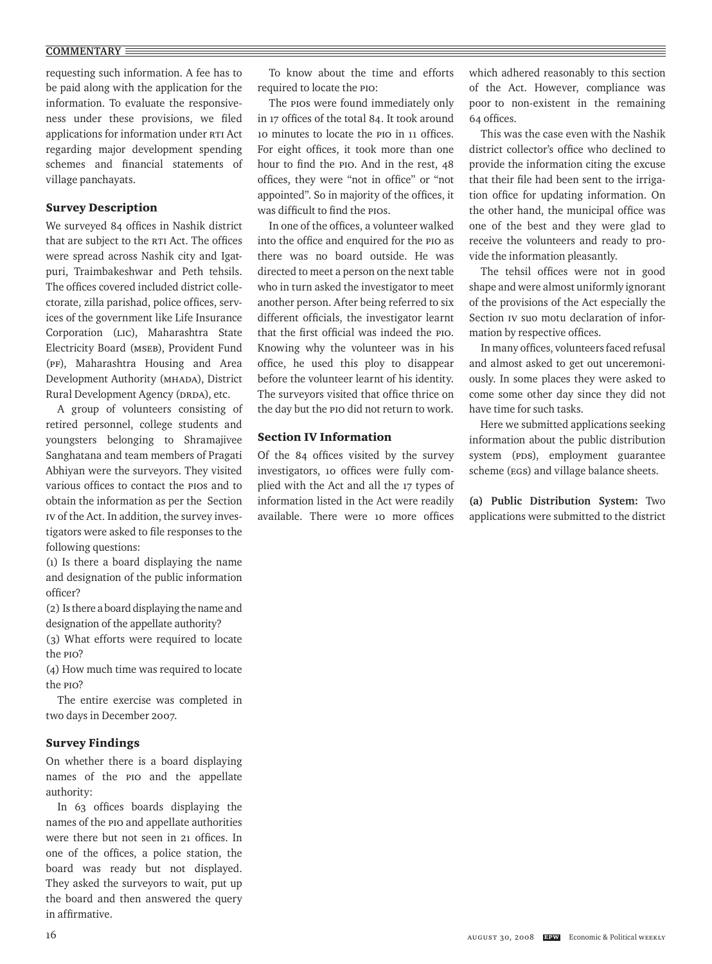## **COMMENTARY**

requesting such information. A fee has to be paid along with the application for the information. To evaluate the responsiveness under these provisions, we filed applications for information under RTI Act regarding major development spending schemes and financial statements of village panchayats.

# Survey Description

We surveyed 84 offices in Nashik district that are subject to the RTI Act. The offices were spread across Nashik city and Igatpuri, Traimbakeshwar and Peth tehsils. The offices covered included district collectorate, zilla parishad, police offices, services of the government like Life Insurance Corporation (LIC), Maharashtra State Electricity Board (MSEB), Provident Fund (PF), Maharashtra Housing and Area Development Authority (MHADA), District Rural Development Agency (DRDA), etc.

A group of volunteers consisting of retired personnel, college students and youngsters belonging to Shramajivee Sanghatana and team members of Pragati Abhiyan were the surveyors. They visited various offices to contact the PIOs and to obtain the information as per the Section IV of the Act. In addition, the survey investigators were asked to file responses to the following questions:

(1) Is there a board displaying the name and designation of the public information officer?

(2) Is there a board displaying the name and designation of the appellate authority?

(3) What efforts were required to locate the PIO?

(4) How much time was required to locate the PIO?

The entire exercise was completed in two days in December 2007.

## Survey Findings

On whether there is a board displaying names of the PIO and the appellate authority:

In 63 offices boards displaying the names of the PIO and appellate authorities were there but not seen in 21 offices. In one of the offices, a police station, the board was ready but not displayed. They asked the surveyors to wait, put up the board and then answered the query in affirmative.

To know about the time and efforts required to locate the PIO:

The PIOS were found immediately only in 17 offices of the total 84. It took around 10 minutes to locate the PIO in 11 offices. For eight offices, it took more than one hour to find the PIO. And in the rest, 48 offices, they were "not in office" or "not appointed". So in majority of the offices, it was difficult to find the PIOs.

In one of the offices, a volunteer walked into the office and enquired for the PIO as there was no board outside. He was directed to meet a person on the next table who in turn asked the investigator to meet another person. After being referred to six different officials, the investigator learnt that the first official was indeed the PIO. Knowing why the volunteer was in his office, he used this ploy to disappear before the volunteer learnt of his identity. The surveyors visited that office thrice on the day but the PIO did not return to work.

## Section IV Information

Of the 84 offices visited by the survey investigators, 10 offices were fully complied with the Act and all the 17 types of information listed in the Act were readily available. There were 10 more offices which adhered reasonably to this section of the Act. However, compliance was poor to non-existent in the remaining 64 offices.

This was the case even with the Nashik district collector's office who declined to provide the information citing the excuse that their file had been sent to the irrigation office for updating information. On the other hand, the municipal office was one of the best and they were glad to receive the volunteers and ready to provide the information pleasantly.

The tehsil offices were not in good shape and were almost uniformly ignorant of the provisions of the Act especially the Section IV suo motu declaration of information by respective offices.

In many offices, volunteers faced refusal and almost asked to get out unceremoniously. In some places they were asked to come some other day since they did not have time for such tasks.

Here we submitted applications seeking information about the public distribution system (PDS), employment guarantee scheme (EGS) and village balance sheets.

**(a) Public Distribution System:** Two applications were submitted to the district